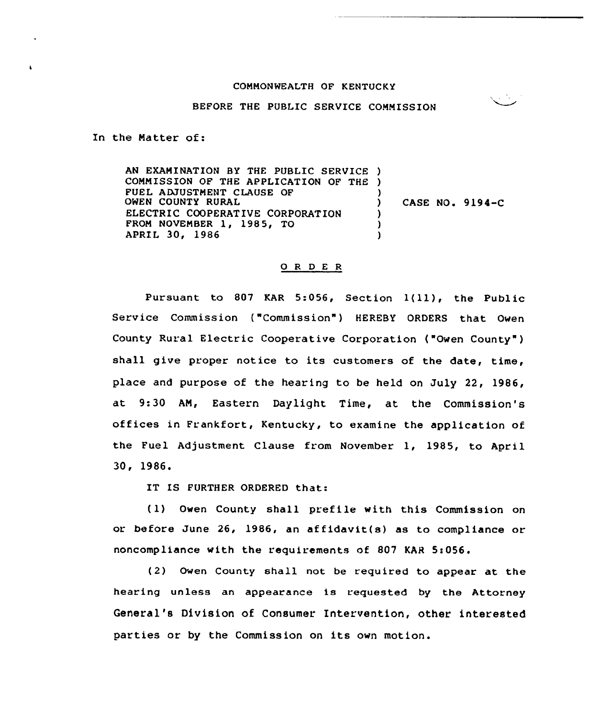## COMMONWEALTH OF KENTUCKY

## BEFORE THE PUBLIC SERVICE COMMISSION

In the Matter of:

AN EXAMINATION BY THE PUBLIC SERVICE ) COMMISSION OF THE APPLICATION OF THE ) FUEL ADJUSTMENT CLAUSE OF OWEN COUNTY RURAL ELECTRIC COOPERATIVE CORPORATION FROM NOVEMBER 1, 1985, TO APRIL 30, 1986 ) ) CASE NO. 9194-C ) ) )

## 0 <sup>R</sup> <sup>D</sup> E <sup>R</sup>

Pursuant to <sup>807</sup> KAR 5:056, Section 1(ll), the Public Service Commission ("Commission") HEREBY ORDERS that Owen County Rural Electric Cooperative Corporation ("Owen County" ) shall give proper notice to its customers of the date, time, place and purpose of the hearing to be held on July 22, 1986, at 9:30 AN, Eastern Daylight Time, at the Commission's offices in Frankfort, Kentucky, to examine the application of the Fuel Adjustment Clause from November 1, 1985, to April 30, 1986.

IT IS FURTHER ORDERED that:

(1) Owen County shall prefile with this Commission on or before June 26, 1986, an affidavit(s) as to compliance or noncompliance with the requirements of 807 KAR 5:056.

(2) Owen County shall not be required to appear at the hearing unless an appearance is requested by the Attorney General's Division of Consumer Intervention, other interested parties or by the Commission on its own motion.